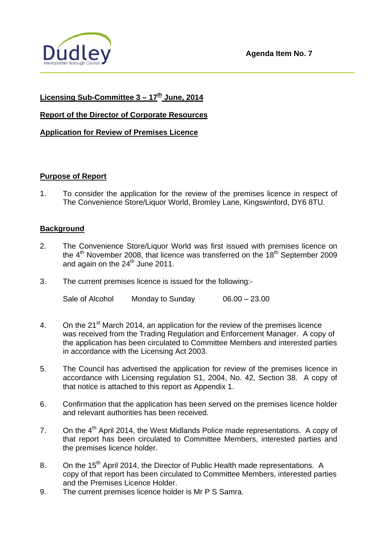

# **Licensing Sub-Committee 3 – 17th June, 2014**

### **Report of the Director of Corporate Resources**

## **Application for Review of Premises Licence**

#### **Purpose of Report**

1. To consider the application for the review of the premises licence in respect of The Convenience Store/Liquor World, Bromley Lane, Kingswinford, DY6 8TU.

### **Background**

- 2. The Convenience Store/Liquor World was first issued with premises licence on the  $4<sup>th</sup>$  November 2008, that licence was transferred on the  $18<sup>th</sup>$  September 2009 and again on the  $24<sup>th</sup>$  June 2011.
- 3. The current premises licence is issued for the following:-

Sale of Alcohol Monday to Sunday 06.00 – 23.00

- 4. On the 21<sup>st</sup> March 2014, an application for the review of the premises licence was received from the Trading Regulation and Enforcement Manager. A copy of the application has been circulated to Committee Members and interested parties in accordance with the Licensing Act 2003.
- 5. The Council has advertised the application for review of the premises licence in accordance with Licensing regulation S1, 2004, No. 42, Section 38. A copy of that notice is attached to this report as Appendix 1.
- 6. Confirmation that the application has been served on the premises licence holder and relevant authorities has been received.
- 7. On the 4<sup>th</sup> April 2014, the West Midlands Police made representations. A copy of that report has been circulated to Committee Members, interested parties and the premises licence holder.
- 8. On the 15<sup>th</sup> April 2014, the Director of Public Health made representations. A copy of that report has been circulated to Committee Members, interested parties and the Premises Licence Holder.
- 9. The current premises licence holder is Mr P S Samra.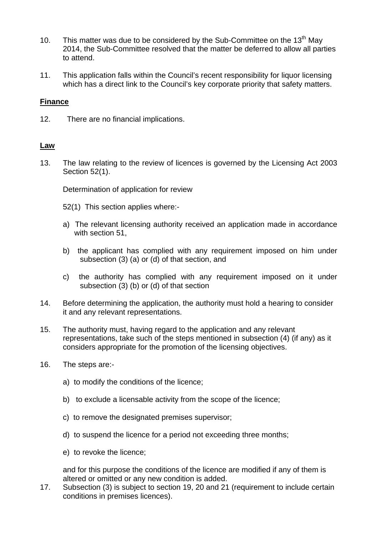- 10. This matter was due to be considered by the Sub-Committee on the 13<sup>th</sup> May 2014, the Sub-Committee resolved that the matter be deferred to allow all parties to attend.
- 11. This application falls within the Council's recent responsibility for liquor licensing which has a direct link to the Council's key corporate priority that safety matters.

### **Finance**

12. There are no financial implications.

### **Law**

13. The law relating to the review of licences is governed by the Licensing Act 2003 Section 52(1).

Determination of application for review

- 52(1) This section applies where:-
- a) The relevant licensing authority received an application made in accordance with section 51,
- b) the applicant has complied with any requirement imposed on him under subsection (3) (a) or (d) of that section, and
- c) the authority has complied with any requirement imposed on it under subsection (3) (b) or (d) of that section
- 14. Before determining the application, the authority must hold a hearing to consider it and any relevant representations.
- 15. The authority must, having regard to the application and any relevant representations, take such of the steps mentioned in subsection (4) (if any) as it considers appropriate for the promotion of the licensing objectives.
- 16. The steps are:
	- a) to modify the conditions of the licence;
	- b) to exclude a licensable activity from the scope of the licence;
	- c) to remove the designated premises supervisor;
	- d) to suspend the licence for a period not exceeding three months;
	- e) to revoke the licence;

 and for this purpose the conditions of the licence are modified if any of them is altered or omitted or any new condition is added.

17. Subsection (3) is subject to section 19, 20 and 21 (requirement to include certain conditions in premises licences).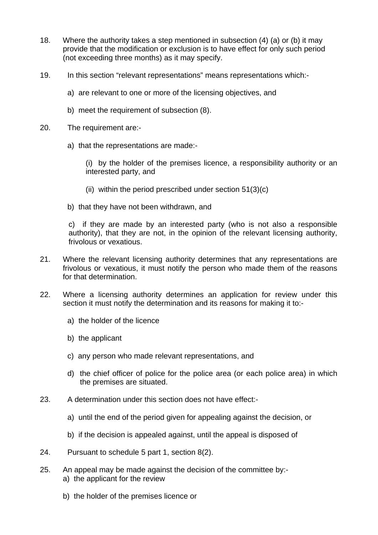- 18. Where the authority takes a step mentioned in subsection (4) (a) or (b) it may provide that the modification or exclusion is to have effect for only such period (not exceeding three months) as it may specify.
- 19. In this section "relevant representations" means representations which:
	- a) are relevant to one or more of the licensing objectives, and
	- b) meet the requirement of subsection (8).
- 20. The requirement are:
	- a) that the representations are made:-

 (i) by the holder of the premises licence, a responsibility authority or an interested party, and

- (ii) within the period prescribed under section  $51(3)(c)$
- b) that they have not been withdrawn, and

 c) if they are made by an interested party (who is not also a responsible authority), that they are not, in the opinion of the relevant licensing authority, frivolous or vexatious.

- 21. Where the relevant licensing authority determines that any representations are frivolous or vexatious, it must notify the person who made them of the reasons for that determination.
- 22. Where a licensing authority determines an application for review under this section it must notify the determination and its reasons for making it to:
	- a) the holder of the licence
	- b) the applicant
	- c) any person who made relevant representations, and
	- d) the chief officer of police for the police area (or each police area) in which the premises are situated.
- 23. A determination under this section does not have effect:
	- a) until the end of the period given for appealing against the decision, or
	- b) if the decision is appealed against, until the appeal is disposed of
- 24. Pursuant to schedule 5 part 1, section 8(2).
- 25. An appeal may be made against the decision of the committee by: a) the applicant for the review
	- b) the holder of the premises licence or